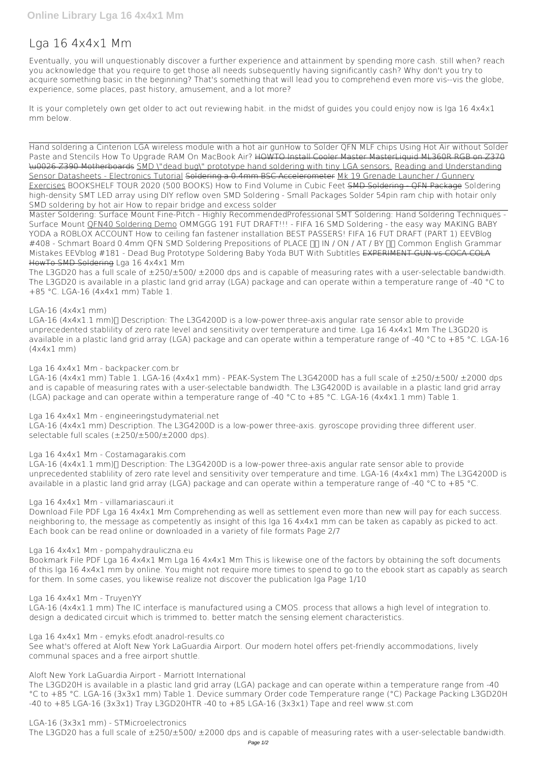# **Lga 16 4x4x1 Mm**

Eventually, you will unquestionably discover a further experience and attainment by spending more cash. still when? reach you acknowledge that you require to get those all needs subsequently having significantly cash? Why don't you try to acquire something basic in the beginning? That's something that will lead you to comprehend even more vis--vis the globe, experience, some places, past history, amusement, and a lot more?

It is your completely own get older to act out reviewing habit. in the midst of guides you could enjoy now is **lga 16 4x4x1 mm** below.

Hand soldering a Cinterion LGA wireless module with a hot air gun**How to Solder QFN MLF chips Using Hot Air without Solder Paste and Stencils How To Upgrade RAM On MacBook Air?** HOWTO Install Cooler Master MasterLiquid ML360R RGB on Z370 \u0026 Z390 Motherboards SMD \"dead bug\" prototype hand soldering with tiny LGA sensors. Reading and Understanding Sensor Datasheets - Electronics Tutorial Soldering a 0.4mm BSC Accelerometer Mk 19 Grenade Launcher / Gunnery Exercises *BOOKSHELF TOUR 2020 (500 BOOKS) How to Find Volume in Cubic Feet* SMD Soldering - QFN Package *Soldering high-density SMT LED array using DIY reflow oven* SMD Soldering - Small Packages Solder 54pin ram chip with hotair only SMD soldering by hot air **How to repair bridge and excess solder**

The L3GD20 has a full scale of  $\pm$ 250/ $\pm$ 500/  $\pm$ 2000 dps and is capable of measuring rates with a user-selectable bandwidth. The L3GD20 is available in a plastic land grid array (LGA) package and can operate within a temperature range of -40 °C to +85 °C. LGA-16 (4x4x1 mm) Table 1.

LGA-16 (4x4x1.1 mm) T Description: The L3G4200D is a low-power three-axis angular rate sensor able to provide unprecedented stablility of zero rate level and sensitivity over temperature and time. Lga 16 4x4x1 Mm The L3GD20 is available in a plastic land grid array (LGA) package and can operate within a temperature range of -40 °C to +85 °C. LGA-16 (4x4x1 mm)

Master Soldering: Surface Mount Fine-Pitch - Highly Recommended**Professional SMT Soldering: Hand Soldering Techniques - Surface Mount** QFN40 Soldering Demo *OMMGGG 191 FUT DRAFT!!! - FIFA 16* SMD Soldering - the easy way *MAKING BABY YODA a ROBLOX ACCOUNT* **How to ceiling fan fastener installation** *BEST PASSERS! FIFA 16 FUT DRAFT (PART 1) EEVBlog* #408 - Schmart Board 0.4mm QFN SMD Soldering Prepositions of PLACE <sub>□□</sub> IN / ON / AT / BY □□ Common English Grammar *Mistakes* EEVblog #181 - Dead Bug Prototype Soldering Baby Yoda BUT With Subtitles EXPERIMENT GUN vs COCA COLA HowTo SMD Soldering **Lga 16 4x4x1 Mm**

LGA-16 (4x4x1.1 mm) T Description: The L3G4200D is a low-power three-axis angular rate sensor able to provide unprecedented stablility of zero rate level and sensitivity over temperature and time. LGA-16 (4x4x1 mm) The L3G4200D is available in a plastic land grid array (LGA) package and can operate within a temperature range of -40 °C to +85 °C.

## **LGA-16 (4x4x1 mm)**

## **Lga 16 4x4x1 Mm - backpacker.com.br**

LGA-16 (4x4x1 mm) Table 1. LGA-16 (4x4x1 mm) - PEAK-System The L3G4200D has a full scale of ±250/±500/ ±2000 dps and is capable of measuring rates with a user-selectable bandwidth. The L3G4200D is available in a plastic land grid array (LGA) package and can operate within a temperature range of -40 °C to +85 °C. LGA-16 (4x4x1.1 mm) Table 1.

## **Lga 16 4x4x1 Mm - engineeringstudymaterial.net**

LGA-16 (4x4x1 mm) Description. The L3G4200D is a low-power three-axis. gyroscope providing three different user. selectable full scales (±250/±500/±2000 dps).

## **Lga 16 4x4x1 Mm - Costamagarakis.com**

## **Lga 16 4x4x1 Mm - villamariascauri.it**

Download File PDF Lga 16 4x4x1 Mm Comprehending as well as settlement even more than new will pay for each success. neighboring to, the message as competently as insight of this lga 16 4x4x1 mm can be taken as capably as picked to act. Each book can be read online or downloaded in a variety of file formats Page 2/7

## **Lga 16 4x4x1 Mm - pompahydrauliczna.eu**

Bookmark File PDF Lga 16 4x4x1 Mm Lga 16 4x4x1 Mm This is likewise one of the factors by obtaining the soft documents of this lga 16 4x4x1 mm by online. You might not require more times to spend to go to the ebook start as capably as search

for them. In some cases, you likewise realize not discover the publication lga Page 1/10

**Lga 16 4x4x1 Mm - TruyenYY**

LGA-16 (4x4x1.1 mm) The IC interface is manufactured using a CMOS. process that allows a high level of integration to. design a dedicated circuit which is trimmed to. better match the sensing element characteristics.

**Lga 16 4x4x1 Mm - emyks.efodt.anadrol-results.co** See what's offered at Aloft New York LaGuardia Airport. Our modern hotel offers pet-friendly accommodations, lively communal spaces and a free airport shuttle.

**Aloft New York LaGuardia Airport - Marriott International** The L3GD20H is available in a plastic land grid array (LGA) package and can operate within a temperature range from -40 °C to +85 °C. LGA-16 (3x3x1 mm) Table 1. Device summary Order code Temperature range (°C) Package Packing L3GD20H -40 to +85 LGA-16 (3x3x1) Tray L3GD20HTR -40 to +85 LGA-16 (3x3x1) Tape and reel www.st.com

**LGA-16 (3x3x1 mm) - STMicroelectronics** The L3GD20 has a full scale of ±250/±500/ ±2000 dps and is capable of measuring rates with a user-selectable bandwidth.